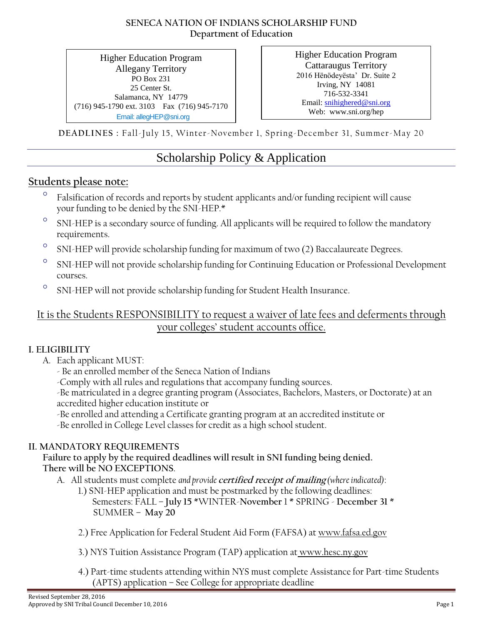#### **SENECA NATION OF INDIANS SCHOLARSHIP FUND Department of Education**

Higher Education Program Allegany Territory PO Box 231 25 Center St. Salamanca, NY 14779 (716) 945-1790 ext. 3103 Fax (716) 945-7170 Email: allegHEP@sni.org

Higher Education Program Cattaraugus Territory 2016 Hënödeyësta' Dr. Suite 2 Irving, NY 14081 716-532-3341 Email: [snihighered@sni.org](mailto:snihighered@sni.org) Web: www.sni.org/hep

**DEADLINES :** Fall-July 15, Winter-November 1, Spring-December 31, Summer-May 20

## Scholarship Policy & Application

## **Students please note:**

- Falsification of records and reports by student applicants and/or funding recipient will cause your funding to be denied by the SNI-HEP.\*
- <sup>o</sup> SNI-HEP is a secondary source of funding. All applicants will be required to follow the mandatory requirements.
- <sup>o</sup> SNI-HEP will provide scholarship funding for maximum of two (2) Baccalaureate Degrees.
- <sup>o</sup> SNI-HEP will not provide scholarship funding for Continuing Education or Professional Development courses.
- <sup>o</sup> SNI-HEP will not provide scholarship funding for Student Health Insurance.

It is the Students RESPONSIBILITY to request a waiver of late fees and deferments through your colleges' student accounts office.

### **I. ELIGIBILITY**

- A. Each applicant MUST:
	- Be an enrolled member of the Seneca Nation of Indians
	- -Comply with all rules and regulations that accompany funding sources.

-Be matriculated in a degree granting program (Associates, Bachelors, Masters, or Doctorate) at an accredited higher education institute or

- -Be enrolled and attending a Certificate granting program at an accredited institute or
- -Be enrolled in College Level classes for credit as a high school student.

### **II. MANDATORY REQUIREMENTS**

**Failure to apply by the required deadlines will result in SNI funding being denied. There will be NO EXCEPTIONS**.

- A. All students must complete *and provide* **certified receipt of mailing** *(where indicated)*:
	- 1.) SNI-HEP application and must be postmarked by the following deadlines: Semesters: FALL – **July 15** \*WINTER-**November** 1 \* SPRING - **December 31** \* SUMMER – **May 20**
	- 2.) Free Application for Federal Student Aid Form (FAFSA) at www.fafsa.ed.gov
	- 3.) NYS Tuition Assistance Program (TAP) application at www.hesc.ny.gov
	- 4.) Part-time students attending within NYS must complete Assistance for Part-time Students (APTS) application – See College for appropriate deadline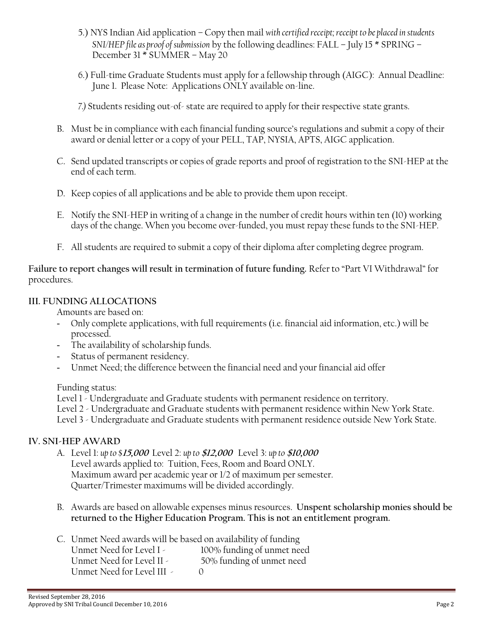- 5.) NYS Indian Aid application Copy then mail *with certified receipt; receipt to be placed in students SNI/HEP file as proof of submission* by the following deadlines: FALL – July 15 \* SPRING – December 31 \* SUMMER – May 20
- 6.) Full-time Graduate Students must apply for a fellowship through (AIGC): Annual Deadline: June 1. Please Note: Applications ONLY available on-line.
- *7.)* Students residing out-of- state are required to apply for their respective state grants.
- B. Must be in compliance with each financial funding source's regulations and submit a copy of their award or denial letter or a copy of your PELL, TAP, NYSIA, APTS, AIGC application.
- C. Send updated transcripts or copies of grade reports and proof of registration to the SNI-HEP at the end of each term.
- D. Keep copies of all applications and be able to provide them upon receipt.
- E. Notify the SNI-HEP in writing of a change in the number of credit hours within ten (10) working days of the change. When you become over-funded, you must repay these funds to the SNI-HEP.
- F. All students are required to submit a copy of their diploma after completing degree program.

#### **Failure to report changes will result in termination of future funding.** Refer to "Part VI Withdrawal" for procedures.

#### **III. FUNDING ALLOCATIONS**

Amounts are based on:

- Only complete applications, with full requirements (i.e. financial aid information, etc.) will be processed.
- The availability of scholarship funds.
- Status of permanent residency.
- Unmet Need; the difference between the financial need and your financial aid offer

Funding status:

Level 1 - Undergraduate and Graduate students with permanent residence on territory.

Level 2 - Undergraduate and Graduate students with permanent residence within New York State.

Level 3 - Undergraduate and Graduate students with permanent residence outside New York State.

#### **IV. SNI-HEP AWARD**

- A. Level 1: *up to \$***15,000** Level 2: *up to* **\$12,000** Level 3: *up to* **\$10,000** Level awards applied to: Tuition, Fees, Room and Board ONLY. Maximum award per academic year or 1/2 of maximum per semester. Quarter/Trimester maximums will be divided accordingly.
- B. Awards are based on allowable expenses minus resources. **Unspent scholarship monies should be returned to the Higher Education Program. This is not an entitlement program.**

C. Unmet Need awards will be based on availability of funding

| Unmet Need for Level I -   | 100% funding of unmet need |
|----------------------------|----------------------------|
| Unmet Need for Level II -  | 50% funding of unmet need  |
| Unmet Need for Level III - |                            |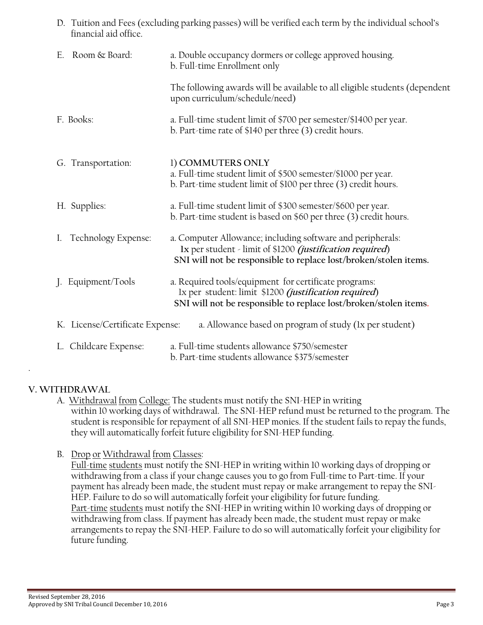D. Tuition and Fees (excluding parking passes) will be verified each term by the individual school's financial aid office.

| Room & Board:<br>Е.             | a. Double occupancy dormers or college approved housing.<br>b. Full-time Enrollment only                                                                                                           |
|---------------------------------|----------------------------------------------------------------------------------------------------------------------------------------------------------------------------------------------------|
|                                 | The following awards will be available to all eligible students (dependent<br>upon curriculum/schedule/need)                                                                                       |
| F. Books:                       | a. Full-time student limit of \$700 per semester/\$1400 per year.<br>b. Part-time rate of \$140 per three (3) credit hours.                                                                        |
| G. Transportation:              | 1) COMMUTERS ONLY<br>a. Full-time student limit of \$500 semester/\$1000 per year.<br>b. Part-time student limit of \$100 per three (3) credit hours.                                              |
| H. Supplies:                    | a. Full-time student limit of \$300 semester/\$600 per year.<br>b. Part-time student is based on \$60 per three (3) credit hours.                                                                  |
| Technology Expense:<br>I.       | a. Computer Allowance; including software and peripherals:<br>Ix per student - limit of \$1200 <i>(justification required)</i><br>SNI will not be responsible to replace lost/broken/stolen items. |
| Equipment/Tools                 | a. Required tools/equipment for certificate programs:<br>Ix per student: limit \$1200 <i>(justification required)</i><br>SNI will not be responsible to replace lost/broken/stolen items.          |
| K. License/Certificate Expense: | a. Allowance based on program of study (1x per student)                                                                                                                                            |
| Childcare Expense:              | a. Full-time students allowance \$750/semester<br>b. Part-time students allowance \$375/semester                                                                                                   |

#### **V. WITHDRAWAL**

.

- A. Withdrawal from College: The students must notify the SNI-HEP in writing within 10 working days of withdrawal. The SNI-HEP refund must be returned to the program. The student is responsible for repayment of all SNI-HEP monies. If the student fails to repay the funds, they will automatically forfeit future eligibility for SNI-HEP funding.
- B. Drop or Withdrawal from Classes:

Full-time students must notify the SNI-HEP in writing within 10 working days of dropping or withdrawing from a class if your change causes you to go from Full-time to Part-time. If your payment has already been made, the student must repay or make arrangement to repay the SNI-HEP. Failure to do so will automatically forfeit your eligibility for future funding. Part-time students must notify the SNI-HEP in writing within 10 working days of dropping or withdrawing from class. If payment has already been made, the student must repay or make arrangements to repay the SNI-HEP. Failure to do so will automatically forfeit your eligibility for future funding.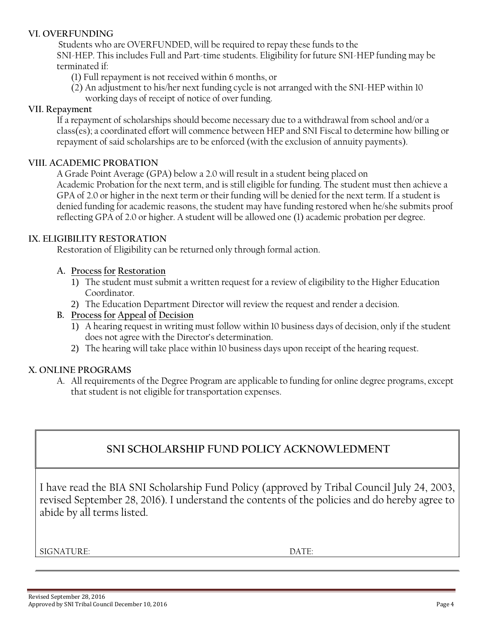#### **VI. OVERFUNDING**

Students who are OVERFUNDED, will be required to repay these funds to the SNI-HEP. This includes Full and Part-time students. Eligibility for future SNI-HEP funding may be terminated if:

(1) Full repayment is not received within 6 months, or

(2) An adjustment to his/her next funding cycle is not arranged with the SNI-HEP within 10 working days of receipt of notice of over funding.

#### **VII. Repayment**

If a repayment of scholarships should become necessary due to a withdrawal from school and/or a class(es); a coordinated effort will commence between HEP and SNI Fiscal to determine how billing or repayment of said scholarships are to be enforced (with the exclusion of annuity payments).

#### **VIII. ACADEMIC PROBATION**

A Grade Point Average (GPA) below a 2.0 will result in a student being placed on Academic Probation for the next term, and is still eligible for funding. The student must then achieve a GPA of 2.0 or higher in the next term or their funding will be denied for the next term. If a student is denied funding for academic reasons, the student may have funding restored when he/she submits proof reflecting GPA of 2.0 or higher. A student will be allowed one (1) academic probation per degree.

#### **IX. ELIGIBILITY RESTORATION**

Restoration of Eligibility can be returned only through formal action.

#### **A. Process for Restoration**

- 1) The student must submit a written request for a review of eligibility to the Higher Education Coordinator.
- 2) The Education Department Director will review the request and render a decision.
- **B. Process for Appeal of Decision**
	- 1) A hearing request in writing must follow within 10 business days of decision, only if the student does not agree with the Director's determination.
	- 2) The hearing will take place within 10 business days upon receipt of the hearing request.

#### **X. ONLINE PROGRAMS**

A. All requirements of the Degree Program are applicable to funding for online degree programs, except that student is not eligible for transportation expenses.

## **SNI SCHOLARSHIP FUND POLICY ACKNOWLEDMENT**

I have read the BIA SNI Scholarship Fund Policy (approved by Tribal Council July 24, 2003, revised September 28, 2016). I understand the contents of the policies and do hereby agree to abide by all terms listed.

SIGNATURE: DATE: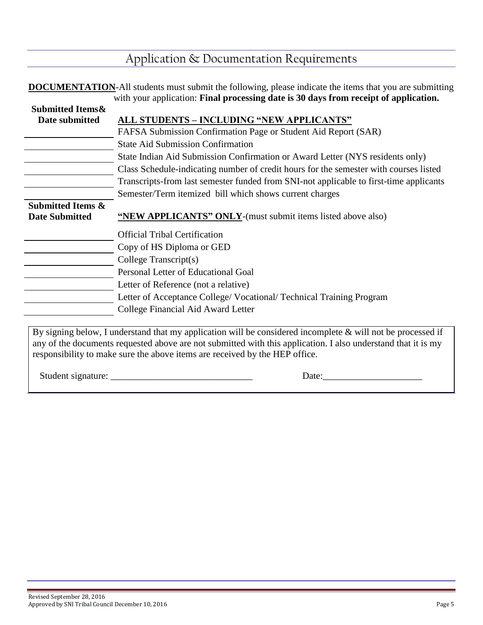## Application & Documentation Requirements

|                              | <b>DOCUMENTATION-All students must submit the following, please indicate the items that you are submitting</b> |  |  |
|------------------------------|----------------------------------------------------------------------------------------------------------------|--|--|
|                              | with your application: Final processing date is 30 days from receipt of application.                           |  |  |
| <b>Submitted Items&amp;</b>  |                                                                                                                |  |  |
| Date submitted               | ALL STUDENTS - INCLUDING "NEW APPLICANTS"                                                                      |  |  |
|                              | FAFSA Submission Confirmation Page or Student Aid Report (SAR)                                                 |  |  |
|                              | <b>State Aid Submission Confirmation</b>                                                                       |  |  |
|                              | State Indian Aid Submission Confirmation or Award Letter (NYS residents only)                                  |  |  |
|                              | Class Schedule-indicating number of credit hours for the semester with courses listed                          |  |  |
|                              | Transcripts-from last semester funded from SNI-not applicable to first-time applicants                         |  |  |
|                              | Semester/Term itemized bill which shows current charges                                                        |  |  |
| <b>Submitted Items &amp;</b> |                                                                                                                |  |  |
| <b>Date Submitted</b>        | "NEW APPLICANTS" ONLY-(must submit items listed above also)                                                    |  |  |
|                              | <b>Official Tribal Certification</b>                                                                           |  |  |
|                              | Copy of HS Diploma or GED                                                                                      |  |  |
|                              | College Transcript(s)                                                                                          |  |  |
|                              | Personal Letter of Educational Goal                                                                            |  |  |
|                              | Letter of Reference (not a relative)                                                                           |  |  |
|                              | Letter of Acceptance College/ Vocational/ Technical Training Program                                           |  |  |
|                              | College Financial Aid Award Letter                                                                             |  |  |
|                              |                                                                                                                |  |  |

By signing below, I understand that my application will be considered incomplete & will not be processed if any of the documents requested above are not submitted with this application. I also understand that it is my responsibility to make sure the above items are received by the HEP office.

Student signature: \_\_\_\_\_\_\_\_\_\_\_\_\_\_\_\_\_\_\_\_\_\_\_\_\_\_\_\_\_\_ Date:\_\_\_\_\_\_\_\_\_\_\_\_\_\_\_\_\_\_\_\_\_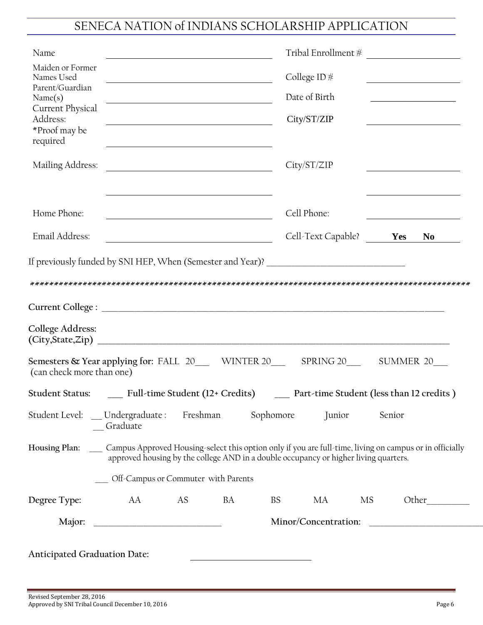# SENECA NATION of INDIANS SCHOLARSHIP APPLICATION

| Maiden or Former<br>Names Used<br><u> 1989 - Johann Barbara, martin amerikan basar da</u><br>Parent/Guardian<br>Name(s)<br><u> Alexandria de la contrada de la contrada de la contrada de la contrada de la con</u><br>Current Physical<br>Address:<br><u> 1980 - Johann Stoff, deutscher Stoffen und der Stoffen und der Stoffen und der Stoffen und der Stoffen und der</u><br>*Proof may be<br>required<br>Mailing Address:<br><u> 1989 - Jan Barbara Barat, politik eta politik eta politik eta politik eta politik eta politik eta politik e</u><br>Home Phone:<br>Email Address: | $\begin{tabular}{c} Tribal Enrollment \# \end{tabular}$<br>College ID $#$<br>Date of Birth<br>City/ST/ZIP<br>City/ST/ZIP<br>Cell Phone: | <u> 1989 - Johann Barbara, martin amerikan basar da</u> |                                               |
|----------------------------------------------------------------------------------------------------------------------------------------------------------------------------------------------------------------------------------------------------------------------------------------------------------------------------------------------------------------------------------------------------------------------------------------------------------------------------------------------------------------------------------------------------------------------------------------|-----------------------------------------------------------------------------------------------------------------------------------------|---------------------------------------------------------|-----------------------------------------------|
|                                                                                                                                                                                                                                                                                                                                                                                                                                                                                                                                                                                        |                                                                                                                                         |                                                         |                                               |
|                                                                                                                                                                                                                                                                                                                                                                                                                                                                                                                                                                                        |                                                                                                                                         |                                                         |                                               |
|                                                                                                                                                                                                                                                                                                                                                                                                                                                                                                                                                                                        |                                                                                                                                         |                                                         |                                               |
|                                                                                                                                                                                                                                                                                                                                                                                                                                                                                                                                                                                        |                                                                                                                                         |                                                         |                                               |
|                                                                                                                                                                                                                                                                                                                                                                                                                                                                                                                                                                                        |                                                                                                                                         |                                                         |                                               |
|                                                                                                                                                                                                                                                                                                                                                                                                                                                                                                                                                                                        | Cell-Text Capable? Yes                                                                                                                  |                                                         | $\begin{array}{cc} \n\text{No} \n\end{array}$ |
|                                                                                                                                                                                                                                                                                                                                                                                                                                                                                                                                                                                        |                                                                                                                                         |                                                         |                                               |
|                                                                                                                                                                                                                                                                                                                                                                                                                                                                                                                                                                                        |                                                                                                                                         |                                                         |                                               |
| College Address:                                                                                                                                                                                                                                                                                                                                                                                                                                                                                                                                                                       |                                                                                                                                         |                                                         |                                               |
| Semesters & Year applying for: FALL 20___ WINTER 20___ SPRING 20___ SUMMER 20__<br>(can check more than one)                                                                                                                                                                                                                                                                                                                                                                                                                                                                           |                                                                                                                                         |                                                         |                                               |
|                                                                                                                                                                                                                                                                                                                                                                                                                                                                                                                                                                                        |                                                                                                                                         |                                                         |                                               |
| Student Status: ______ Full-time Student (12+ Credits) ______ Part-time Student (less than 12 credits)                                                                                                                                                                                                                                                                                                                                                                                                                                                                                 |                                                                                                                                         |                                                         |                                               |
| Student Level: __ Undergraduate : Freshman Sophomore<br>Graduate                                                                                                                                                                                                                                                                                                                                                                                                                                                                                                                       | Junior                                                                                                                                  | Senior                                                  |                                               |
| approved housing by the college AND in a double occupancy or higher living quarters.                                                                                                                                                                                                                                                                                                                                                                                                                                                                                                   |                                                                                                                                         |                                                         |                                               |
| Housing Plan: Campus Approved Housing-select this option only if you are full-time, living on campus or in officially<br>Off-Campus or Commuter with Parents                                                                                                                                                                                                                                                                                                                                                                                                                           |                                                                                                                                         |                                                         |                                               |
| AA<br>AS<br>BA<br>Degree Type:<br><b>BS</b>                                                                                                                                                                                                                                                                                                                                                                                                                                                                                                                                            | МA                                                                                                                                      | MS                                                      | Other                                         |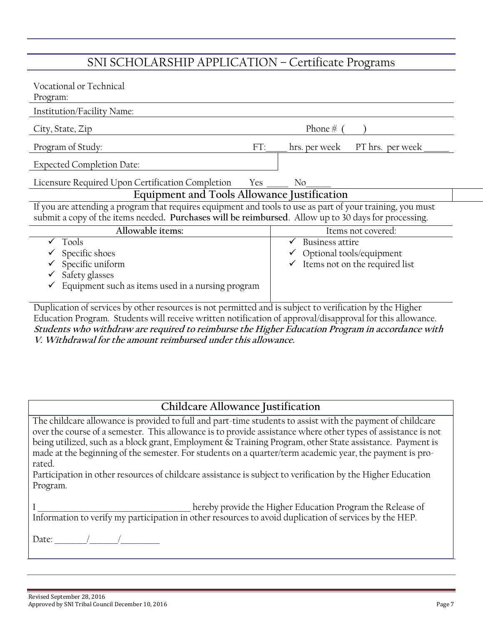## SNI SCHOLARSHIP APPLICATION – Certificate Programs

| Vocational or Technical<br>Program:                                                                                                                                                                                |                                   |  |  |
|--------------------------------------------------------------------------------------------------------------------------------------------------------------------------------------------------------------------|-----------------------------------|--|--|
| Institution/Facility Name:                                                                                                                                                                                         |                                   |  |  |
| City, State, Zip                                                                                                                                                                                                   | Phone $#$                         |  |  |
| Program of Study:<br>FT:                                                                                                                                                                                           | PT hrs. per week<br>hrs. per week |  |  |
| <b>Expected Completion Date:</b>                                                                                                                                                                                   |                                   |  |  |
| Licensure Required Upon Certification Completion Yes                                                                                                                                                               | N <sub>0</sub>                    |  |  |
| Equipment and Tools Allowance Justification                                                                                                                                                                        |                                   |  |  |
| If you are attending a program that requires equipment and tools to use as part of your training, you must<br>submit a copy of the items needed. Purchases will be reimbursed. Allow up to 30 days for processing. |                                   |  |  |
| Allowable items:                                                                                                                                                                                                   | Items not covered:                |  |  |
| Tools                                                                                                                                                                                                              | Business attire                   |  |  |
| Specific shoes                                                                                                                                                                                                     | Optional tools/equipment          |  |  |
| Specific uniform                                                                                                                                                                                                   | Items not on the required list    |  |  |
| Safety glasses                                                                                                                                                                                                     |                                   |  |  |
| Equipment such as items used in a nursing program                                                                                                                                                                  |                                   |  |  |

Duplication of services by other resources is not permitted and is subject to verification by the Higher Education Program. Students will receive written notification of approval/disapproval for this allowance. **Students who withdraw are required to reimburse the Higher Education Program in accordance with V. Withdrawal for the amount reimbursed under this allowance.**

### **Childcare Allowance Justification**

The childcare allowance is provided to full and part-time students to assist with the payment of childcare over the course of a semester. This allowance is to provide assistance where other types of assistance is not being utilized, such as a block grant, Employment & Training Program, other State assistance. Payment is made at the beginning of the semester. For students on a quarter/term academic year, the payment is prorated.

Participation in other resources of childcare assistance is subject to verification by the Higher Education Program.

 $\_$  hereby provide the Higher Education Program the Release of Information to verify my participation in other resources to avoid duplication of services by the HEP.

Date:  $\qquad$  /  $\qquad$  /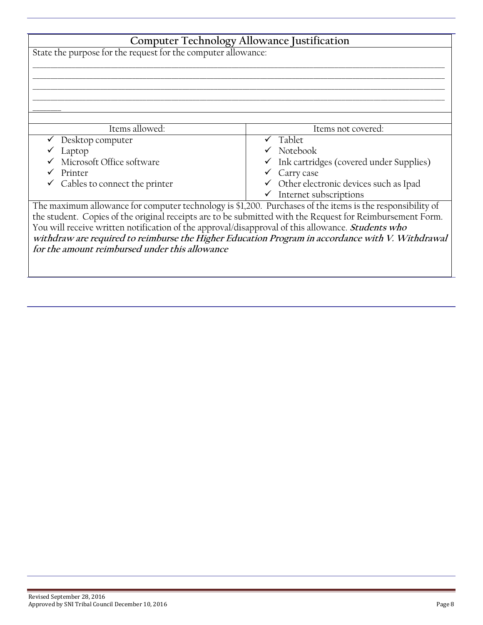| <b>Computer Technology Allowance Justification</b>                                                        |                                                      |  |
|-----------------------------------------------------------------------------------------------------------|------------------------------------------------------|--|
|                                                                                                           |                                                      |  |
| State the purpose for the request for the computer allowance:                                             |                                                      |  |
|                                                                                                           |                                                      |  |
|                                                                                                           |                                                      |  |
|                                                                                                           |                                                      |  |
|                                                                                                           |                                                      |  |
|                                                                                                           |                                                      |  |
|                                                                                                           |                                                      |  |
| Items allowed:                                                                                            | Items not covered:                                   |  |
| Desktop computer                                                                                          | $\checkmark$ Tablet                                  |  |
| Laptop                                                                                                    | $\checkmark$ Notebook                                |  |
| Microsoft Office software                                                                                 | $\checkmark$ Ink cartridges (covered under Supplies) |  |
| Printer                                                                                                   | Carry case                                           |  |
| $\checkmark$ Cables to connect the printer                                                                | ✓ Other electronic devices such as Ipad              |  |
|                                                                                                           | $\checkmark$ Internet subscriptions                  |  |
| The maximum allowance for computer technology is \$1,200. Purchases of the items is the responsibility of |                                                      |  |
| the student. Copies of the original receipts are to be submitted with the Request for Reimbursement Form. |                                                      |  |
| You will receive written notification of the approval/disapproval of this allowance. Students who         |                                                      |  |
| withdraw are required to reimburse the Higher Education Program in accordance with V. Withdrawal          |                                                      |  |
| for the amount reimbursed under this allowance                                                            |                                                      |  |
|                                                                                                           |                                                      |  |
|                                                                                                           |                                                      |  |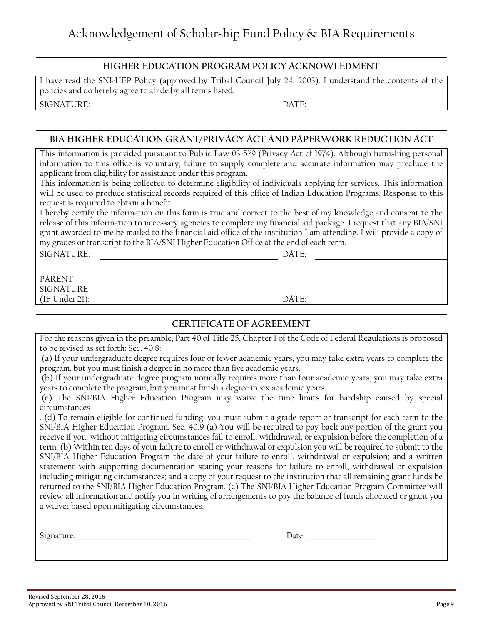#### **HIGHER EDUCATION PROGRAM POLICY ACKNOWLEDMENT**

I have read the SNI-HEP Policy (approved by Tribal Council July 24, 2003). I understand the contents of the policies and do hereby agree to abide by all terms listed. SIGNATURE: DATE:

#### **BIA HIGHER EDUCATION GRANT/PRIVACY ACT AND PAPERWORK REDUCTION ACT**

This information is provided pursuant to Public Law 03-579 (Privacy Act of 1974). Although furnishing personal information to this office is voluntary, failure to supply complete and accurate information may preclude the applicant from eligibility for assistance under this program.

This information is being collected to determine eligibility of individuals applying for services. This information will be used to produce statistical records required of this office of Indian Education Programs. Response to this request is required to obtain a benefit.

I hereby certify the information on this form is true and correct to the best of my knowledge and consent to the release of this information to necessary agencies to complete my financial aid package. I request that any BIA/SNI grant awarded to me be mailed to the financial aid office of the institution I am attending. I will provide a copy of my grades or transcript to the BIA/SNI Higher Education Office at the end of each term.

SIGNATURE: DATE:

PARENT SIGNATURE (IF Under 21): DATE:

#### **CERTIFICATE OF AGREEMENT**

For the reasons given in the preamble, Part 40 of Title 25, Chapter I of the Code of Federal Regulations is proposed to be revised as set forth: Sec. 40.8:

(a) If your undergraduate degree requires four or fewer academic years, you may take extra years to complete the program, but you must finish a degree in no more than five academic years.

(b) If your undergraduate degree program normally requires more than four academic years, you may take extra years to complete the program, but you must finish a degree in six academic years.

(c) The SNI/BIA Higher Education Program may waive the time limits for hardship caused by special circumstances

. (d) To remain eligible for continued funding, you must submit a grade report or transcript for each term to the SNI/BIA Higher Education Program. Sec. 40.9 (a) You will be required to pay back any portion of the grant you receive if you, without mitigating circumstances fail to enroll, withdrawal, or expulsion before the completion of a term. (b) Within ten days of your failure to enroll or withdrawal or expulsion you will be required to submit to the SNI/BIA Higher Education Program the date of your failure to enroll, withdrawal or expulsion; and a written statement with supporting documentation stating your reasons for failure to enroll, withdrawal or expulsion including mitigating circumstances; and a copy of your request to the institution that all remaining grant funds be returned to the SNI/BIA Higher Education Program. (c) The SNI/BIA Higher Education Program Committee will review all information and notify you in writing of arrangements to pay the balance of funds allocated or grant you a waiver based upon mitigating circumstances.

| $\sim$ |  |  |
|--------|--|--|
|        |  |  |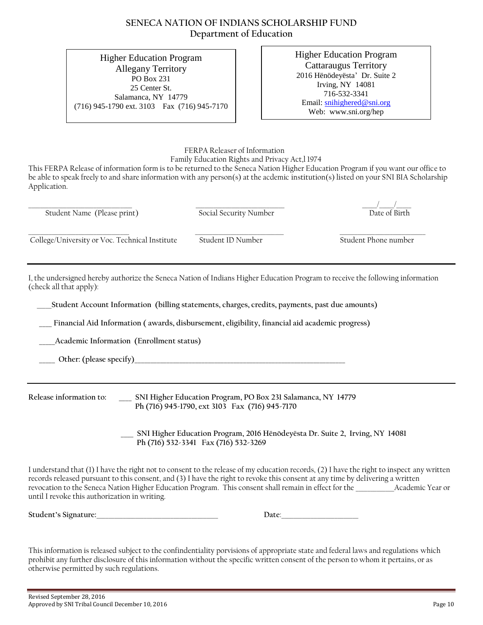#### **SENECA NATION OF INDIANS SCHOLARSHIP FUND Department of Education**

Higher Education Program Allegany Territory PO Box 231 25 Center St. Salamanca, NY 14779 (716) 945-1790 ext. 3103 Fax (716) 945-7170 Higher Education Program Cattaraugus Territory 2016 Hënödeyësta' Dr. Suite 2 Irving, NY 14081 716-532-3341 Email: [snihighered@sni.org](mailto:snihighered@sni.org) Web: www.sni.org/hep

 FERPA Releaser of Information Family Education Rights and Privacy Act,l 1974

This FERPA Release of information form is to be returned to the Seneca Nation Higher Education Program if you want our office to be able to speak freely to and share information with any person(s) at the acdemic institution(s) listed on your SNI BIA Scholarship Application.

| Student Name (Please print)                    | Social Security Number | Date of Birth        |
|------------------------------------------------|------------------------|----------------------|
| College/University or Voc. Technical Institute | Student ID Number      | Student Phone number |

I, the undersigned hereby authorize the Seneca Nation of Indians Higher Education Program to receive the following information (check all that apply):

\_\_\_\_\_**Student Account Information (billing statements, charges, credits, payments, past due amounts)**

 **\_\_\_\_ Financial Aid Information ( awards, disbursement, eligibility, financial aid academic progress)**

 **\_\_\_\_\_Academic Information (Enrollment status)**

Other: (please specify)

**Release information to: \_\_\_\_ SNI Higher Education Program, PO Box 231 Salamanca, NY 14779 Ph (716) 945-1790, ext 3103 Fax (716) 945-7170**

> **\_\_\_\_ SNI Higher Education Program, 2016 Hënödeyësta Dr. Suite 2, Irving, NY 14081 Ph (716) 532-3341 Fax (716) 532-3269**

I understand that (1) I have the right not to consent to the release of my education records, (2) I have the right to inspect any written records released pursuant to this consent, and (3) I have the right to revoke this consent at any time by delivering a written revocation to the Seneca Nation Higher Education Program. This consent shall remain in effect for the \_\_\_\_\_\_\_\_\_\_\_\_\_Academic Year or until I revoke this authorization in writing.

**Student's Signature:**\_\_\_\_\_\_\_\_\_\_\_\_\_\_\_\_\_\_\_\_\_\_\_\_\_\_\_\_\_\_\_\_\_\_\_\_\_\_\_\_\_ **Date**:\_\_\_\_\_\_\_\_\_\_\_\_\_\_\_\_\_\_\_\_\_\_\_\_\_\_

This information is released subject to the confindentiality porvisions of appropriate state and federal laws and regulations which prohibit any further disclosure of this information without the specific written consent of the person to whom it pertains, or as otherwise permitted by such regulations.